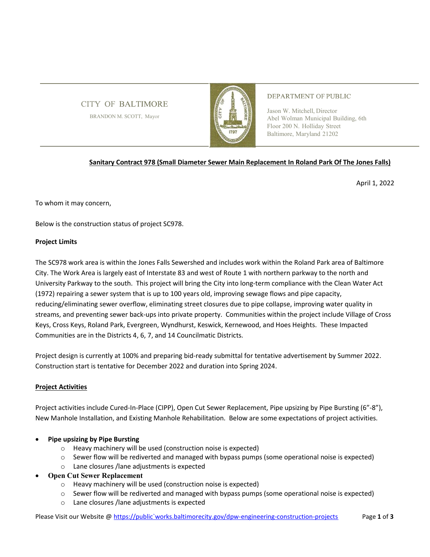



BRANDON M. SCOTT, Mayor  $\left\| \begin{matrix} 1 & 1 \ 1 & 1 \end{matrix} \right\|$  Jason W. Mitchell, Director Abel Wolman Municipal Building, 6th DEPARTMENT OF PUBLIC<br>Jason W. Mitchell, Director<br>Abel Wolman Municipal Building, 6th<br>Floor 200 N. Holliday Street<br>Baltimore, Maryland 21202<br>**ement In Roland Park Of The Jones Falls)** Baltimore, Maryland 21202

# Sanitary Contract 978 (Small Diameter Sewer Main Replacement In Roland Park Of The Jones Falls)

April 1, 2022

To whom it may concern,

Below is the construction status of project SC978.

## Project Limits

The SC978 work area is within the Jones Falls Sewershed and includes work within the Roland Park area of Baltimore City. The Work Area is largely east of Interstate 83 and west of Route 1 with northern parkway to the north and University Parkway to the south. This project will bring the City into long-term compliance with the Clean Water Act (1972) repairing a sewer system that is up to 100 years old, improving sewage flows and pipe capacity, reducing/eliminating sewer overflow, eliminating street closures due to pipe collapse, improving water quality in streams, and preventing sewer back-ups into private property. Communities within the project include Village of Cross Keys, Cross Keys, Roland Park, Evergreen, Wyndhurst, Keswick, Kernewood, and Hoes Heights. These Impacted Communities are in the Districts 4, 6, 7, and 14 Councilmatic Districts.

Project design is currently at 100% and preparing bid-ready submittal for tentative advertisement by Summer 2022. Construction start is tentative for December 2022 and duration into Spring 2024.

# Project Activities

Project activities include Cured-In-Place (CIPP), Open Cut Sewer Replacement, Pipe upsizing by Pipe Bursting (6"-8"), New Manhole Installation, and Existing Manhole Rehabilitation. Below are some expectations of project activities.

# Pipe upsizing by Pipe Bursting

- o Heavy machinery will be used (construction noise is expected)
- $\circ$  Sewer flow will be rediverted and managed with bypass pumps (some operational noise is expected)
- o Lane closures /lane adjustments is expected
- Open Cut Sewer Replacement
	- o Heavy machinery will be used (construction noise is expected)
	- $\circ$  Sewer flow will be rediverted and managed with bypass pumps (some operational noise is expected)
	- o Lane closures /lane adjustments is expected

Please Visit our Website @ https://public`works.baltimorecity.gov/dpw-engineering-construction-projects Page 1 of 3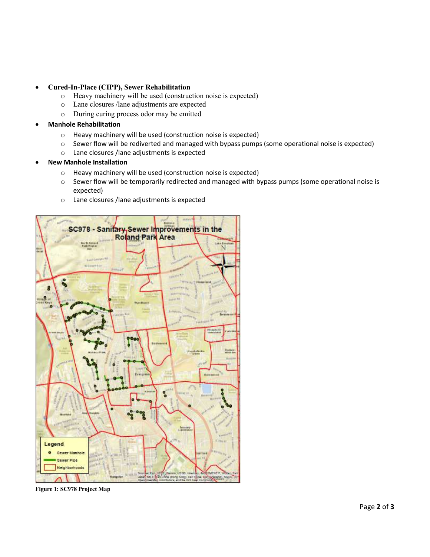- Cured-In-Place (CIPP), Sewer Rehabilitation
	- o Heavy machinery will be used (construction noise is expected)
	- o Lane closures /lane adjustments are expected
	- o During curing process odor may be emitted
- Manhole Rehabilitation
	- o Heavy machinery will be used (construction noise is expected)
	- o Sewer flow will be rediverted and managed with bypass pumps (some operational noise is expected)
	- o Lane closures /lane adjustments is expected
- New Manhole Installation
	- o Heavy machinery will be used (construction noise is expected)
	- o Sewer flow will be temporarily redirected and managed with bypass pumps (some operational noise is expected)
	- o Lane closures /lane adjustments is expected



Figure 1: SC978 Project Map